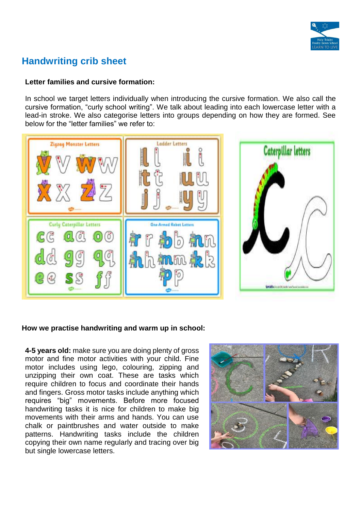

# **Handwriting crib sheet**

### **Letter families and cursive formation:**

In school we target letters individually when introducing the cursive formation. We also call the cursive formation, "curly school writing". We talk about leading into each lowercase letter with a lead-in stroke. We also categorise letters into groups depending on how they are formed. See below for the "letter families" we refer to:



## **How we practise handwriting and warm up in school:**

**4-5 years old:** make sure you are doing plenty of gross motor and fine motor activities with your child. Fine motor includes using lego, colouring, zipping and unzipping their own coat. These are tasks which require children to focus and coordinate their hands and fingers. Gross motor tasks include anything which requires "big" movements. Before more focused handwriting tasks it is nice for children to make big movements with their arms and hands. You can use chalk or paintbrushes and water outside to make patterns. Handwriting tasks include the children copying their own name regularly and tracing over big but single lowercase letters.

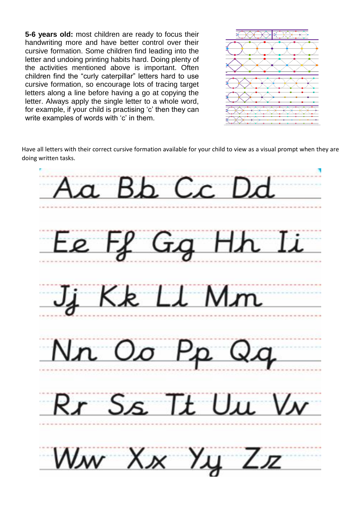**5-6 years old:** most children are ready to focus their handwriting more and have better control over their cursive formation. Some children find leading into the letter and undoing printing habits hard. Doing plenty of the activities mentioned above is important. Often children find the "curly caterpillar" letters hard to use cursive formation, so encourage lots of tracing target letters along a line before having a go at copying the letter. Always apply the single letter to a whole word, for example, if your child is practising 'c' then they can write examples of words with 'c' in them.



Have all letters with their correct cursive formation available for your child to view as a visual prompt when they are doing written tasks.